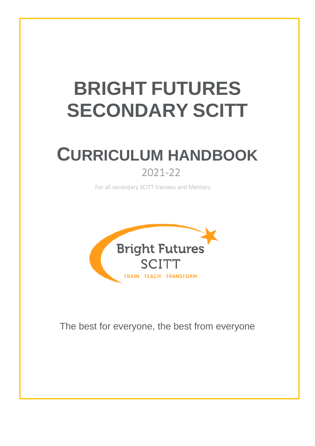# **BRIGHT FUTURES SECONDARY SCITT**

## **CURRICULUM HANDBOOK** 2021-22

For all secondary SCITT trainees and Mentors.



The best for everyone, the best from everyone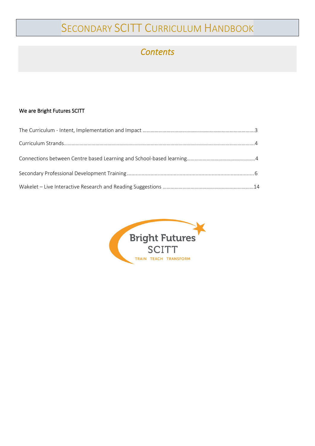### SECONDARY SCITT CURRICULUM HANDBOOK

#### *Contents*

#### We are Bright Futures SCITT

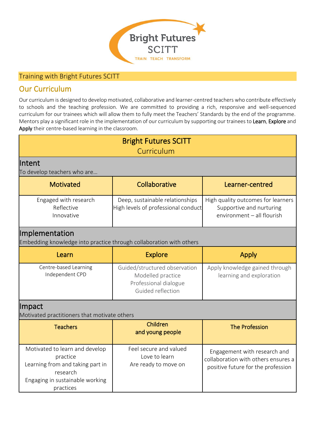

#### Training with Bright Futures SCITT

#### Our Curriculum

Our curriculum is designed to develop motivated, collaborative and learner-centred teachers who contribute effectively to schools and the teaching profession. We are committed to providing a rich, responsive and well-sequenced curriculum for our trainees which will allow them to fully meet the Teachers' Standards by the end of the programme. Mentors play a significant role in the implementation of our curriculum by supporting our trainees to Learn, Explore and Apply their centre-based learning in the classroom.

| <b>Bright Futures SCITT</b><br>Curriculum                                                                                                  |                                                                                                  |                                                                                                           |  |  |  |  |  |  |
|--------------------------------------------------------------------------------------------------------------------------------------------|--------------------------------------------------------------------------------------------------|-----------------------------------------------------------------------------------------------------------|--|--|--|--|--|--|
| Intent<br>To develop teachers who are                                                                                                      |                                                                                                  |                                                                                                           |  |  |  |  |  |  |
| <b>Motivated</b>                                                                                                                           | Collaborative                                                                                    | Learner-centred                                                                                           |  |  |  |  |  |  |
| Engaged with research<br>Reflective<br>Innovative                                                                                          | Deep, sustainable relationships<br>High levels of professional conduct                           | High quality outcomes for learners<br>Supportive and nurturing<br>environment - all flourish              |  |  |  |  |  |  |
| <b>Implementation</b><br>Embedding knowledge into practice through collaboration with others                                               |                                                                                                  |                                                                                                           |  |  |  |  |  |  |
| Learn                                                                                                                                      | <b>Explore</b>                                                                                   | <b>Apply</b>                                                                                              |  |  |  |  |  |  |
| Centre-based Learning<br>Independent CPD                                                                                                   | Guided/structured observation<br>Modelled practice<br>Professional dialogue<br>Guided reflection | Apply knowledge gained through<br>learning and exploration                                                |  |  |  |  |  |  |
| <b>Impact</b><br>Motivated practitioners that motivate others                                                                              |                                                                                                  |                                                                                                           |  |  |  |  |  |  |
| <b>Teachers</b>                                                                                                                            | Children<br>and young people                                                                     | <b>The Profession</b>                                                                                     |  |  |  |  |  |  |
| Motivated to learn and develop<br>practice<br>Learning from and taking part in<br>research<br>Engaging in sustainable working<br>practices | Feel secure and valued<br>Love to learn<br>Are ready to move on                                  | Engagement with research and<br>collaboration with others ensures a<br>positive future for the profession |  |  |  |  |  |  |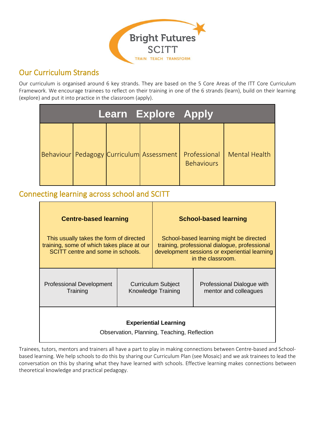

#### Our Curriculum Strands

Our curriculum is organised around 6 key strands. They are based on the 5 Core Areas of the ITT Core Curriculum Framework. We encourage trainees to reflect on their training in one of the 6 strands (learn), build on their learning (explore) and put it into practice in the classroom (apply).

|                                                | <b>Learn Explore Apply</b> |                                   |                      |
|------------------------------------------------|----------------------------|-----------------------------------|----------------------|
| Behaviour   Pedagogy   Curriculum   Assessment |                            | Professional<br><b>Behaviours</b> | <b>Mental Health</b> |

#### Connecting learning across school and SCITT

| <b>Centre-based learning</b>                                                                                               |  |                                                 | <b>School-based learning</b>                                                                                                                                   |  |  |
|----------------------------------------------------------------------------------------------------------------------------|--|-------------------------------------------------|----------------------------------------------------------------------------------------------------------------------------------------------------------------|--|--|
| This usually takes the form of directed<br>training, some of which takes place at our<br>SCITT centre and some in schools. |  |                                                 | School-based learning might be directed<br>training, professional dialogue, professional<br>development sessions or experiential learning<br>in the classroom. |  |  |
| <b>Professional Development</b><br>Training                                                                                |  | <b>Curriculum Subject</b><br>Knowledge Training | Professional Dialogue with<br>mentor and colleagues                                                                                                            |  |  |
| <b>Experiential Learning</b><br>Observation, Planning, Teaching, Reflection                                                |  |                                                 |                                                                                                                                                                |  |  |

Trainees, tutors, mentors and trainers all have a part to play in making connections between Centre-based and Schoolbased learning. We help schools to do this by sharing our Curriculum Plan (see Mosaic) and we ask trainees to lead the conversation on this by sharing what they have learned with schools. Effective learning makes connections between theoretical knowledge and practical pedagogy.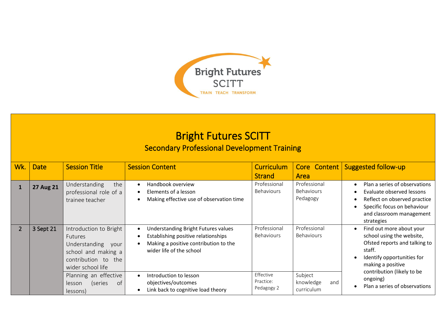

## Bright Futures SCITT

#### Secondary Professional Development Training

| Wk.            | <b>Date</b>      | <b>Session Title</b>                                                                                                                                             | <b>Session Content</b>                                                                                                                                                                 | <b>Curriculum</b><br><b>Strand</b>             | Core Content<br>Area                          | <b>Suggested follow-up</b>                                                                                                                                                                                              |
|----------------|------------------|------------------------------------------------------------------------------------------------------------------------------------------------------------------|----------------------------------------------------------------------------------------------------------------------------------------------------------------------------------------|------------------------------------------------|-----------------------------------------------|-------------------------------------------------------------------------------------------------------------------------------------------------------------------------------------------------------------------------|
| $\mathbf{1}$   | <b>27 Aug 21</b> | the<br>Understanding<br>professional role of a<br>trainee teacher                                                                                                | Handbook overview<br>Elements of a lesson<br>Making effective use of observation time                                                                                                  | Professional<br><b>Behaviours</b>              | Professional<br><b>Behaviours</b><br>Pedagogy | Plan a series of observations<br>$\bullet$<br>Evaluate observed lessons<br>$\bullet$<br>Reflect on observed practice<br>$\bullet$<br>Specific focus on behaviour<br>$\bullet$<br>and classroom management<br>strategies |
| $\overline{2}$ | 3 Sept 21        | Introduction to Bright<br><b>Futures</b><br>Understanding<br>vour<br>school and making a<br>contribution to<br>the<br>wider school life<br>Planning an effective | Understanding Bright Futures values<br>Establishing positive relationships<br>Making a positive contribution to the<br>wider life of the school<br>Introduction to lesson<br>$\bullet$ | Professional<br><b>Behaviours</b><br>Effective | Professional<br><b>Behaviours</b><br>Subject  | Find out more about your<br>$\bullet$<br>school using the website,<br>Ofsted reports and talking to<br>staff.<br>Identify opportunities for<br>making a positive<br>contribution (likely to be                          |
|                |                  | of<br>(series<br>lesson<br>lessons)                                                                                                                              | objectives/outcomes<br>Link back to cognitive load theory                                                                                                                              | Practice:<br>Pedagogy 2                        | knowledge<br>and<br>curriculum                | ongoing)<br>Plan a series of observations                                                                                                                                                                               |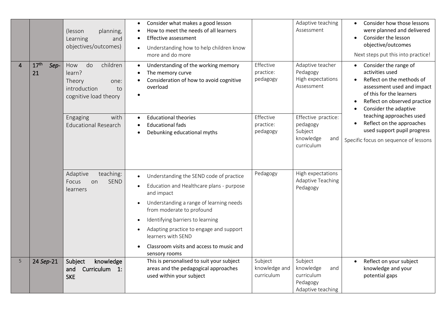|   |                                | (lesson<br>planning,<br>Learning<br>and<br>objectives/outcomes)                                  | Consider what makes a good lesson<br>$\bullet$<br>How to meet the needs of all learners<br>$\bullet$<br>Effective assessment<br>$\bullet$<br>Understanding how to help children know<br>more and do more                                                                                                                                                                                        |                                        | Adaptive teaching<br>Assessment                                              | Consider how those lessons<br>$\bullet$<br>were planned and delivered<br>Consider the lesson<br>$\bullet$<br>objective/outcomes<br>Next steps put this into practice!                    |
|---|--------------------------------|--------------------------------------------------------------------------------------------------|-------------------------------------------------------------------------------------------------------------------------------------------------------------------------------------------------------------------------------------------------------------------------------------------------------------------------------------------------------------------------------------------------|----------------------------------------|------------------------------------------------------------------------------|------------------------------------------------------------------------------------------------------------------------------------------------------------------------------------------|
| 4 | 17 <sup>th</sup><br>Sep-<br>21 | do<br>children<br>How<br>learn?<br>Theory<br>one:<br>introduction<br>to<br>cognitive load theory | Understanding of the working memory<br>$\bullet$<br>The memory curve<br>Consideration of how to avoid cognitive<br>overload<br>$\bullet$                                                                                                                                                                                                                                                        | Effective<br>practice:<br>pedagogy     | Adaptive teacher<br>Pedagogy<br>High expectations<br>Assessment              | Consider the range of<br>activities used<br>Reflect on the methods of<br>assessment used and impact<br>of this for the learners<br>Reflect on observed practice<br>Consider the adaptive |
|   |                                | with<br>Engaging<br><b>Educational Research</b>                                                  | <b>Educational theories</b><br>$\bullet$<br><b>Educational fads</b><br>Debunking educational myths                                                                                                                                                                                                                                                                                              | Effective<br>practice:<br>pedagogy     | Effective practice:<br>pedagogy<br>Subject<br>knowledge<br>and<br>curriculum | teaching approaches used<br>Reflect on the approaches<br>used support pupil progress<br>Specific focus on sequence of lessons                                                            |
|   |                                | Adaptive<br>teaching:<br><b>SEND</b><br>Focus<br>on<br>learners                                  | Understanding the SEND code of practice<br>Education and Healthcare plans - purpose<br>$\bullet$<br>and impact<br>Understanding a range of learning needs<br>$\bullet$<br>from moderate to profound<br>Identifying barriers to learning<br>$\bullet$<br>Adapting practice to engage and support<br>$\bullet$<br>learners with SEND<br>Classroom visits and access to music and<br>sensory rooms | Pedagogy                               | High expectations<br><b>Adaptive Teaching</b><br>Pedagogy                    |                                                                                                                                                                                          |
| 5 | 24 Sep-21                      | Subject<br>knowledge<br>Curriculum<br>and<br>$\mathbf{1}$ :<br><b>SKE</b>                        | This is personalised to suit your subject<br>areas and the pedagogical approaches<br>used within your subject                                                                                                                                                                                                                                                                                   | Subject<br>knowledge and<br>curriculum | Subject<br>knowledge<br>and<br>curriculum<br>Pedagogy<br>Adaptive teaching   | Reflect on your subject<br>$\bullet$<br>knowledge and your<br>potential gaps                                                                                                             |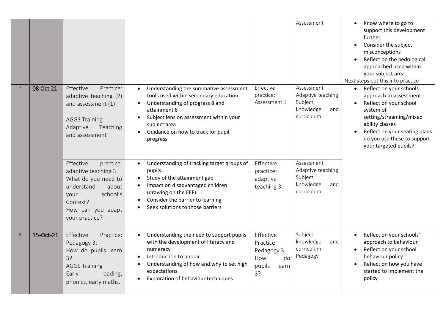|   |           |                                                                                                                                                                     |                                                                                                                                                                                                                                                   |                                                                             | Assessment                                                                   | Know where to go to<br>$\bullet$<br>support this development<br>further<br>Consider the subject<br>$\bullet$<br>misconceptions<br>Reflect on the pedological<br>$\bullet$<br>approached used within<br>your subject area<br>Next steps put this into practice! |
|---|-----------|---------------------------------------------------------------------------------------------------------------------------------------------------------------------|---------------------------------------------------------------------------------------------------------------------------------------------------------------------------------------------------------------------------------------------------|-----------------------------------------------------------------------------|------------------------------------------------------------------------------|----------------------------------------------------------------------------------------------------------------------------------------------------------------------------------------------------------------------------------------------------------------|
| 7 | 08 Oct 21 | Effective<br>Practice:<br>adaptive teaching (2)<br>and assessment (1)<br><b>AGGS Training</b><br>Adaptive<br>Teaching<br>and assessment                             | Understanding the summative assessment<br>tools used within secondary education<br>Understanding of progress 8 and<br>attainment 8<br>Subject lens on assessment within your<br>subject area<br>Guidance on how to track for pupil<br>progress    | Effective<br>practice:<br>Assessment 1                                      | Assessment<br>Adaptive teaching<br>Subject<br>knowledge<br>and<br>curriculum | Reflect on your schools<br>$\bullet$<br>approach to assessment<br>Reflect on your school<br>$\bullet$<br>system of<br>setting/streaming/mixed<br>ability classes<br>Reflect on your seating plans<br>do you use these to support<br>your targeted pupils?      |
|   |           | Effective<br>practice:<br>adaptive teaching 3:<br>What do you need to<br>understand<br>about<br>school's<br>your<br>Context?<br>How can you adapt<br>your practice? | Understanding of tracking target groups of<br>$\bullet$<br>pupils<br>Study of the attainment gap<br>Impact on disadvantaged children<br>$\bullet$<br>(drawing on the EEF)<br>Consider the barrier to learning<br>Seek solutions to those barriers | Effective<br>practice:<br>adaptive<br>teaching 3:                           | Assessment<br>Adaptive teaching<br>Subject<br>knowledge<br>and<br>curriculum |                                                                                                                                                                                                                                                                |
| 8 | 15-Oct-21 | Effective<br>Practice:<br>Pedagogy 3:<br>How do pupils learn<br>3?<br><b>AGGS Training</b><br>Early<br>reading,<br>phonics, early maths,                            | Understanding the need to support pupils<br>with the development of literacy and<br>numeracy<br>Introduction to phonic<br>Understanding of how and why to set high<br>expectations<br>Exploration of behaviour techniques                         | Effective<br>Practice:<br>Pedagogy 3:<br>do<br>How<br>pupils<br>learn<br>3? | Subject<br>knowledge<br>and<br>curriculum<br>Pedagogy                        | Reflect on your schools'<br>approach to behaviour<br>Reflect on your school<br>$\bullet$<br>behaviour policy<br>Reflect on how you have<br>started to implement the<br>policy                                                                                  |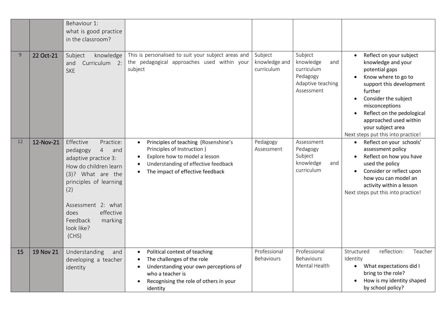|    |           | Behaviour 1:<br>what is good practice<br>in the classroom?                                                                                                                                                                                                  |                                                                                                                                                                                                                                    |                                        |                                                                                          |                                                                                                                                                                                                                                                                                                                      |
|----|-----------|-------------------------------------------------------------------------------------------------------------------------------------------------------------------------------------------------------------------------------------------------------------|------------------------------------------------------------------------------------------------------------------------------------------------------------------------------------------------------------------------------------|----------------------------------------|------------------------------------------------------------------------------------------|----------------------------------------------------------------------------------------------------------------------------------------------------------------------------------------------------------------------------------------------------------------------------------------------------------------------|
| 9  | 22 Oct-21 | Subject<br>knowledge<br>Curriculum 2:<br>and<br><b>SKE</b>                                                                                                                                                                                                  | This is personalised to suit your subject areas and<br>the pedagogical approaches used within your<br>subject                                                                                                                      | Subject<br>knowledge and<br>curriculum | Subject<br>knowledge<br>and<br>curriculum<br>Pedagogy<br>Adaptive teaching<br>Assessment | Reflect on your subject<br>knowledge and your<br>potential gaps<br>Know where to go to<br>support this development<br>further<br>Consider the subject<br>$\bullet$<br>misconceptions<br>Reflect on the pedological<br>$\bullet$<br>approached used within<br>your subject area<br>Next steps put this into practice! |
| 12 | 12-Nov-21 | Effective<br>Practice:<br>pedagogy<br>$\overline{4}$<br>and<br>adaptive practice 3:<br>How do children learn<br>(3)? What are the<br>principles of learning<br>(2)<br>Assessment 2: what<br>effective<br>does<br>Feedback<br>marking<br>look like?<br>(CHS) | Principles of teaching (Rosenshine's<br>$\bullet$<br>Principles of Instruction)<br>Explore how to model a lesson<br>$\bullet$<br>Understanding of effective feedback<br>$\bullet$<br>The impact of effective feedback<br>$\bullet$ | Pedagogy<br>Assessment                 | Assessment<br>Pedagogy<br>Subject<br>knowledge<br>and<br>curriculum                      | Reflect on your schools'<br>$\bullet$<br>assessment policy<br>Reflect on how you have<br>used the policy<br>Consider or reflect upon<br>how you can model an<br>activity within a lesson<br>Next steps put this into practice!                                                                                       |
| 15 | 19 Nov 21 | Understanding<br>and<br>developing a teacher<br>identity                                                                                                                                                                                                    | Political context of teaching<br>$\bullet$<br>The challenges of the role<br>$\bullet$<br>Understanding your own perceptions of<br>$\bullet$<br>who a teacher is<br>Recognising the role of others in your<br>identity              | Professional<br>Behaviours             | Professional<br><b>Behaviours</b><br>Mental Health                                       | Structured<br>reflection:<br>Teacher<br>Identity<br>What expectations did I<br>$\bullet$<br>bring to the role?<br>How is my identity shaped<br>by school policy?                                                                                                                                                     |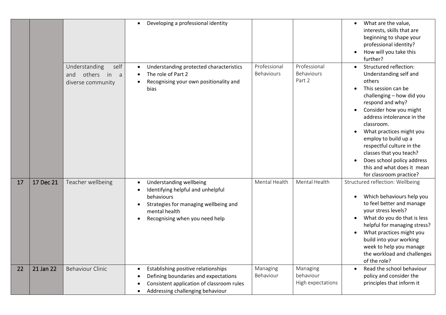|    |           |                                                                       | Developing a professional identity<br>$\bullet$                                                                                                                                                                  |                            |                                            | What are the value,<br>$\bullet$<br>interests, skills that are<br>beginning to shape your<br>professional identity?<br>How will you take this<br>further?                                                                                                                                                                                                                                                   |
|----|-----------|-----------------------------------------------------------------------|------------------------------------------------------------------------------------------------------------------------------------------------------------------------------------------------------------------|----------------------------|--------------------------------------------|-------------------------------------------------------------------------------------------------------------------------------------------------------------------------------------------------------------------------------------------------------------------------------------------------------------------------------------------------------------------------------------------------------------|
|    |           | Understanding<br>self<br>others in<br>and<br>a a<br>diverse community | Understanding protected characteristics<br>The role of Part 2<br>Recognising your own positionality and<br>bias                                                                                                  | Professional<br>Behaviours | Professional<br>Behaviours<br>Part 2       | Structured reflection:<br>Understanding self and<br>others<br>This session can be<br>challenging - how did you<br>respond and why?<br>Consider how you might<br>address intolerance in the<br>classroom.<br>What practices might you<br>employ to build up a<br>respectful culture in the<br>classes that you teach?<br>Does school policy address<br>this and what does it mean<br>for classroom practice? |
| 17 | 17 Dec 21 | Teacher wellbeing                                                     | Understanding wellbeing<br>$\bullet$<br>Identifying helpful and unhelpful<br>$\bullet$<br>behaviours<br>Strategies for managing wellbeing and<br>$\bullet$<br>mental health<br>Recognising when you need help    | Mental Health              | Mental Health                              | Structured reflection: Wellbeing<br>Which behaviours help you<br>to feel better and manage<br>your stress levels?<br>What do you do that is less<br>helpful for managing stress?<br>What practices might you<br>build into your working<br>week to help you manage<br>the workload and challenges<br>of the role?                                                                                           |
| 22 | 21 Jan 22 | <b>Behaviour Clinic</b>                                               | Establishing positive relationships<br>$\bullet$<br>Defining boundaries and expectations<br>$\bullet$<br>Consistent application of classroom rules<br>$\bullet$<br>Addressing challenging behaviour<br>$\bullet$ | Managing<br>Behaviour      | Managing<br>behaviour<br>High expectations | Read the school behaviour<br>policy and consider the<br>principles that inform it                                                                                                                                                                                                                                                                                                                           |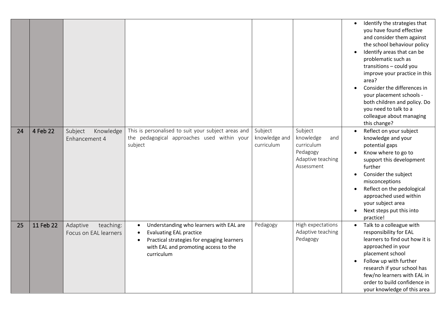|    |           |                                                |                                                                                                                                                                                                                      |                                        |                                                                                          | $\bullet$ | Identify the strategies that<br>you have found effective<br>and consider them against<br>the school behaviour policy<br>Identify areas that can be<br>problematic such as<br>transitions - could you<br>improve your practice in this<br>area?<br>Consider the differences in<br>your placement schools -<br>both children and policy. Do<br>you need to talk to a<br>colleague about managing<br>this change? |
|----|-----------|------------------------------------------------|----------------------------------------------------------------------------------------------------------------------------------------------------------------------------------------------------------------------|----------------------------------------|------------------------------------------------------------------------------------------|-----------|----------------------------------------------------------------------------------------------------------------------------------------------------------------------------------------------------------------------------------------------------------------------------------------------------------------------------------------------------------------------------------------------------------------|
| 24 | 4 Feb 22  | Subject<br>Knowledge<br>Enhancement 4          | This is personalised to suit your subject areas and<br>the pedagogical approaches used within your<br>subject                                                                                                        | Subject<br>knowledge and<br>curriculum | Subject<br>knowledge<br>and<br>curriculum<br>Pedagogy<br>Adaptive teaching<br>Assessment |           | Reflect on your subject<br>knowledge and your<br>potential gaps<br>Know where to go to<br>support this development<br>further<br>Consider the subject<br>misconceptions<br>Reflect on the pedological<br>approached used within<br>your subject area<br>Next steps put this into<br>practice!                                                                                                                  |
| 25 | 11 Feb 22 | Adaptive<br>teaching:<br>Focus on EAL learners | Understanding who learners with EAL are<br>$\bullet$<br><b>Evaluating EAL practice</b><br>$\bullet$<br>Practical strategies for engaging learners<br>$\bullet$<br>with EAL and promoting access to the<br>curriculum | Pedagogy                               | High expectations<br>Adaptive teaching<br>Pedagogy                                       |           | Talk to a colleague with<br>responsibility for EAL<br>learners to find out how it is<br>approached in your<br>placement school<br>Follow up with further<br>research if your school has<br>few/no learners with EAL in<br>order to build confidence in<br>your knowledge of this area                                                                                                                          |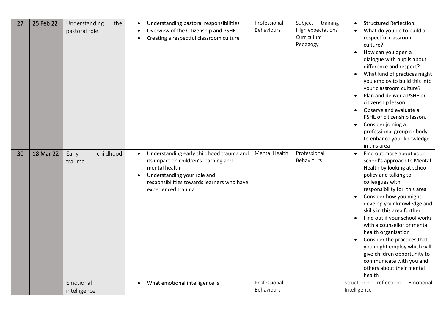| 27 | 25 Feb 22 | Understanding<br>the<br>pastoral role     | Understanding pastoral responsibilities<br>Overview of the Citizenship and PSHE<br>Creating a respectful classroom culture                                                                                                                                        | Professional<br>Behaviours    | Subject training<br>High expectations<br>Curriculum<br>Pedagogy | <b>Structured Reflection:</b><br>What do you do to build a<br>respectful classroom<br>culture?<br>How can you open a<br>dialogue with pupils about<br>difference and respect?<br>What kind of practices might<br>you employ to build this into<br>your classroom culture?<br>Plan and deliver a PSHE or<br>citizenship lesson.<br>Observe and evaluate a<br>PSHE or citizenship lesson.<br>Consider joining a<br>professional group or body<br>to enhance your knowledge<br>in this area                                                                                 |
|----|-----------|-------------------------------------------|-------------------------------------------------------------------------------------------------------------------------------------------------------------------------------------------------------------------------------------------------------------------|-------------------------------|-----------------------------------------------------------------|--------------------------------------------------------------------------------------------------------------------------------------------------------------------------------------------------------------------------------------------------------------------------------------------------------------------------------------------------------------------------------------------------------------------------------------------------------------------------------------------------------------------------------------------------------------------------|
| 30 | 18 Mar 22 | childhood<br>Early<br>trauma<br>Emotional | Understanding early childhood trauma and<br>$\bullet$<br>its impact on children's learning and<br>mental health<br>Understanding your role and<br>responsibilities towards learners who have<br>experienced trauma<br>What emotional intelligence is<br>$\bullet$ | Mental Health<br>Professional | Professional<br>Behaviours                                      | Find out more about your<br>$\bullet$<br>school's approach to Mental<br>Health by looking at school<br>policy and talking to<br>colleagues with<br>responsibility for this area<br>Consider how you might<br>develop your knowledge and<br>skills in this area further<br>Find out if your school works<br>with a counsellor or mental<br>health organisation<br>Consider the practices that<br>you might employ which will<br>give children opportunity to<br>communicate with you and<br>others about their mental<br>health<br>Structured<br>reflection:<br>Emotional |
|    |           | intelligence                              |                                                                                                                                                                                                                                                                   | Behaviours                    |                                                                 | Intelligence                                                                                                                                                                                                                                                                                                                                                                                                                                                                                                                                                             |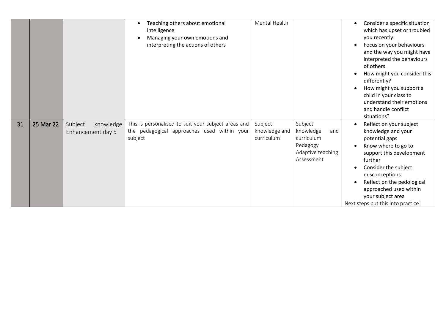|    |           |                                           | Teaching others about emotional<br>intelligence<br>Managing your own emotions and<br>$\bullet$<br>interpreting the actions of others | Mental Health                          |                                                                                          | Consider a specific situation<br>which has upset or troubled<br>you recently.<br>Focus on your behaviours<br>and the way you might have<br>interpreted the behaviours<br>of others.<br>How might you consider this<br>differently?<br>How might you support a<br>child in your class to<br>understand their emotions<br>and handle conflict<br>situations? |
|----|-----------|-------------------------------------------|--------------------------------------------------------------------------------------------------------------------------------------|----------------------------------------|------------------------------------------------------------------------------------------|------------------------------------------------------------------------------------------------------------------------------------------------------------------------------------------------------------------------------------------------------------------------------------------------------------------------------------------------------------|
| 31 | 25 Mar 22 | Subject<br>knowledge<br>Enhancement day 5 | This is personalised to suit your subject areas and<br>the pedagogical approaches used within your<br>subject                        | Subject<br>knowledge and<br>curriculum | Subject<br>knowledge<br>and<br>curriculum<br>Pedagogy<br>Adaptive teaching<br>Assessment | Reflect on your subject<br>knowledge and your<br>potential gaps<br>Know where to go to<br>support this development<br>further<br>Consider the subject<br>misconceptions<br>Reflect on the pedological<br>approached used within<br>your subject area<br>Next steps put this into practice!                                                                 |